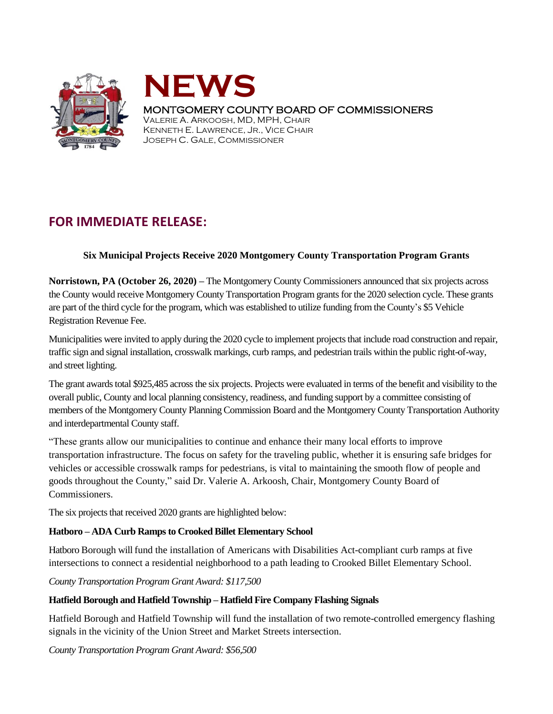



# MONTGOMERY COUNTY BOARD OF COMMISSIONERS

VALERIE A. ARKOOSH, MD, MPH, CHAIR KENNETH E. LAWRENCE, JR., VICE CHAIR JOSEPH C. GALE, COMMISSIONER

# **FOR IMMEDIATE RELEASE:**

# **Six Municipal Projects Receive 2020 Montgomery County Transportation Program Grants**

**Norristown, PA (October 26, 2020) –** The Montgomery County Commissioners announced that six projects across the County would receive Montgomery County Transportation Program grants for the 2020 selection cycle. These grants are part of the third cycle for the program, which was established to utilize funding from the County's \$5 Vehicle Registration Revenue Fee.

Municipalities were invited to apply during the 2020 cycle to implement projects that include road construction and repair, traffic sign and signal installation, crosswalk markings, curb ramps, and pedestrian trails within the public right-of-way, and street lighting.

The grant awards total \$925,485 across the six projects. Projects were evaluated in terms of the benefit and visibility to the overall public, County and local planning consistency, readiness, and funding support by a committee consisting of members of the Montgomery County Planning Commission Board and the Montgomery County Transportation Authority and interdepartmental County staff.

"These grants allow our municipalities to continue and enhance their many local efforts to improve transportation infrastructure. The focus on safety for the traveling public, whether it is ensuring safe bridges for vehicles or accessible crosswalk ramps for pedestrians, is vital to maintaining the smooth flow of people and goods throughout the County," said Dr. Valerie A. Arkoosh, Chair, Montgomery County Board of Commissioners.

The six projects that received 2020 grants are highlighted below:

# **Hatboro – ADA Curb Ramps to Crooked Billet Elementary School**

Hatboro Borough will fund the installation of Americans with Disabilities Act-compliant curb ramps at five intersections to connect a residential neighborhood to a path leading to Crooked Billet Elementary School.

*County Transportation Program Grant Award: \$117,500*

# **Hatfield Borough and Hatfield Township – Hatfield Fire Company Flashing Signals**

Hatfield Borough and Hatfield Township will fund the installation of two remote-controlled emergency flashing signals in the vicinity of the Union Street and Market Streets intersection.

*County Transportation Program Grant Award: \$56,500*